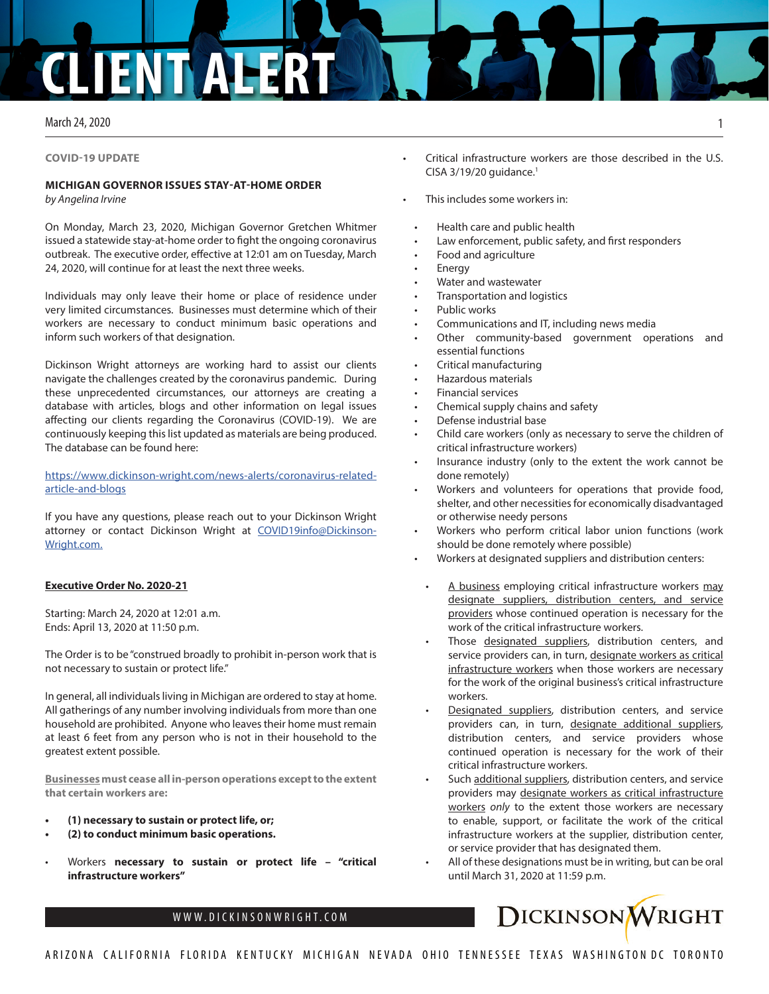# **CLIENT ALERT**

## March 24, 2020

#### **COVID-19 UPDATE**

## **MICHIGAN GOVERNOR ISSUES STAY-AT-HOME ORDER**

*by Angelina Irvine*

On Monday, March 23, 2020, Michigan Governor Gretchen Whitmer issued a statewide stay-at-home order to fight the ongoing coronavirus outbreak. The executive order, effective at 12:01 am on Tuesday, March 24, 2020, will continue for at least the next three weeks.

Individuals may only leave their home or place of residence under very limited circumstances. Businesses must determine which of their workers are necessary to conduct minimum basic operations and inform such workers of that designation.

Dickinson Wright attorneys are working hard to assist our clients navigate the challenges created by the coronavirus pandemic. During these unprecedented circumstances, our attorneys are creating a database with articles, blogs and other information on legal issues affecting our clients regarding the Coronavirus (COVID-19). We are continuously keeping this list updated as materials are being produced. The database can be found here:

[https://www.dickinson-wright.com/news-alerts/coronavirus-related](https://www.dickinson-wright.com/news-alerts/coronavirus-related-article-and-blogs)[article-and-blogs](https://www.dickinson-wright.com/news-alerts/coronavirus-related-article-and-blogs)

If you have any questions, please reach out to your Dickinson Wright attorney or contact Dickinson Wright at [COVID19info@Dickinson-](mailto:COVID19info%40%20Dickinson-Wright.com.%20?subject=)[Wright.com.](mailto:COVID19info%40%20Dickinson-Wright.com.%20?subject=)

# **Executive Order No. 2020-21**

Starting: March 24, 2020 at 12:01 a.m. Ends: April 13, 2020 at 11:50 p.m.

The Order is to be "construed broadly to prohibit in-person work that is not necessary to sustain or protect life."

In general, all individuals living in Michigan are ordered to stay at home. All gatherings of any number involving individuals from more than one household are prohibited. Anyone who leaves their home must remain at least 6 feet from any person who is not in their household to the greatest extent possible.

**Businesses must cease all in-person operations except to the extent that certain workers are:** 

- **• (1) necessary to sustain or protect life, or;**
- **• (2) to conduct minimum basic operations.**
- Workers **necessary to sustain or protect life "critical infrastructure workers"**
- Critical infrastructure workers are those described in the U.S.  $CISA$  3/19/20 guidance.<sup>1</sup>
- This includes some workers in:
- Health care and public health
- Law enforcement, public safety, and first responders
- Food and agriculture
- **Energy**
- Water and wastewater
- Transportation and logistics
- Public works
- Communications and IT, including news media
- Other community-based government operations and essential functions
- Critical manufacturing
- Hazardous materials
- Financial services
- Chemical supply chains and safety
- Defense industrial base
- Child care workers (only as necessary to serve the children of critical infrastructure workers)
- Insurance industry (only to the extent the work cannot be done remotely)
- Workers and volunteers for operations that provide food, shelter, and other necessities for economically disadvantaged or otherwise needy persons
- Workers who perform critical labor union functions (work should be done remotely where possible)
- Workers at designated suppliers and distribution centers:
	- A business employing critical infrastructure workers may designate suppliers, distribution centers, and service providers whose continued operation is necessary for the work of the critical infrastructure workers.
- Those designated suppliers, distribution centers, and service providers can, in turn, designate workers as critical infrastructure workers when those workers are necessary for the work of the original business's critical infrastructure workers.
- Designated suppliers, distribution centers, and service providers can, in turn, designate additional suppliers, distribution centers, and service providers whose continued operation is necessary for the work of their critical infrastructure workers.
- Such additional suppliers, distribution centers, and service providers may designate workers as critical infrastructure workers *only* to the extent those workers are necessary to enable, support, or facilitate the work of the critical infrastructure workers at the supplier, distribution center, or service provider that has designated them.
- All of these designations must be in writing, but can be oral until March 31, 2020 at 11:59 p.m.

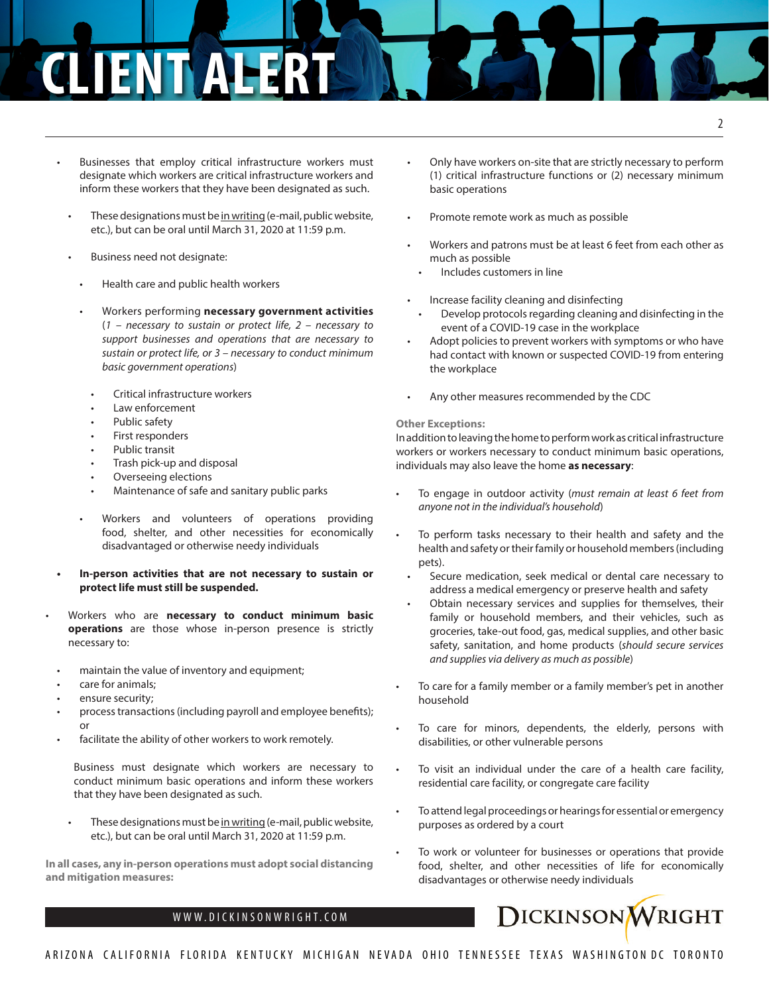- Businesses that employ critical infrastructure workers must designate which workers are critical infrastructure workers and inform these workers that they have been designated as such.
- These designations must be in writing (e-mail, public website, etc.), but can be oral until March 31, 2020 at 11:59 p.m.
- Business need not designate:
- Health care and public health workers
- Workers performing **necessary government activities** (*1 – necessary to sustain or protect life, 2 – necessary to support businesses and operations that are necessary to sustain or protect life, or 3 – necessary to conduct minimum basic government operations*)
	- Critical infrastructure workers
	- Law enforcement
	- Public safety
	- First responders
	- Public transit
	- Trash pick-up and disposal
	- Overseeing elections
- Maintenance of safe and sanitary public parks
- Workers and volunteers of operations providing food, shelter, and other necessities for economically disadvantaged or otherwise needy individuals
- **• In-person activities that are not necessary to sustain or protect life must still be suspended.**
- Workers who are **necessary to conduct minimum basic operations** are those whose in-person presence is strictly necessary to:
	- maintain the value of inventory and equipment;
	- care for animals;
	- ensure security;
	- process transactions (including payroll and employee benefits); or
	- facilitate the ability of other workers to work remotely.

Business must designate which workers are necessary to conduct minimum basic operations and inform these workers that they have been designated as such.

These designations must be in writing (e-mail, public website, etc.), but can be oral until March 31, 2020 at 11:59 p.m.

**In all cases, any in-person operations must adopt social distancing and mitigation measures:**

- Only have workers on-site that are strictly necessary to perform (1) critical infrastructure functions or (2) necessary minimum basic operations
- Promote remote work as much as possible
- Workers and patrons must be at least 6 feet from each other as much as possible
	- Includes customers in line
- Increase facility cleaning and disinfecting
- Develop protocols regarding cleaning and disinfecting in the event of a COVID-19 case in the workplace
- Adopt policies to prevent workers with symptoms or who have had contact with known or suspected COVID-19 from entering the workplace
- Any other measures recommended by the CDC

#### **Other Exceptions:**

In addition to leaving the home to perform work as critical infrastructure workers or workers necessary to conduct minimum basic operations, individuals may also leave the home **as necessary**:

- To engage in outdoor activity (*must remain at least 6 feet from anyone not in the individual's household*)
- To perform tasks necessary to their health and safety and the health and safety or their family or household members (including pets).
- Secure medication, seek medical or dental care necessary to address a medical emergency or preserve health and safety
- Obtain necessary services and supplies for themselves, their family or household members, and their vehicles, such as groceries, take-out food, gas, medical supplies, and other basic safety, sanitation, and home products (*should secure services and supplies via delivery as much as possible*)
- To care for a family member or a family member's pet in another household
- To care for minors, dependents, the elderly, persons with disabilities, or other vulnerable persons
- To visit an individual under the care of a health care facility, residential care facility, or congregate care facility
- To attend legal proceedings or hearings for essential or emergency purposes as ordered by a court
- To work or volunteer for businesses or operations that provide food, shelter, and other necessities of life for economically disadvantages or otherwise needy individuals